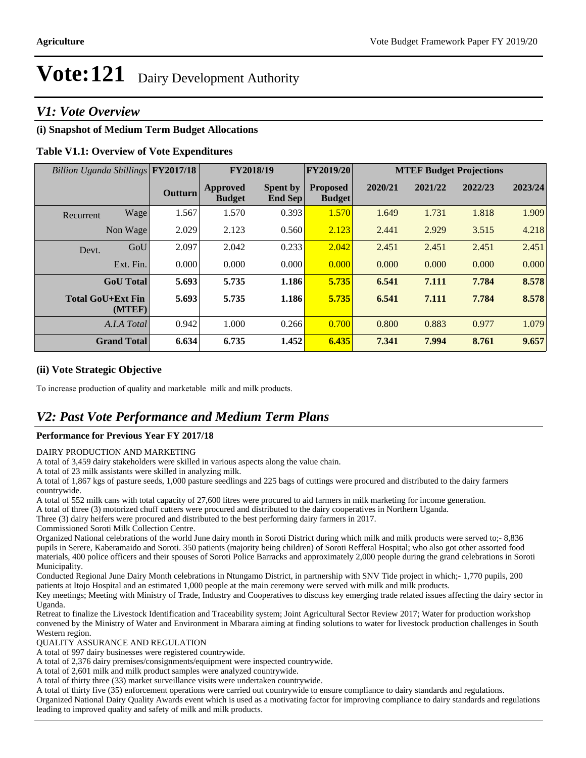### *V1: Vote Overview*

#### **(i) Snapshot of Medium Term Budget Allocations**

#### **Table V1.1: Overview of Vote Expenditures**

| Billion Uganda Shillings FY2017/18 |                    |                | FY2018/19                 |                                   | <b>FY2019/20</b>                 | <b>MTEF Budget Projections</b> |         |         |         |
|------------------------------------|--------------------|----------------|---------------------------|-----------------------------------|----------------------------------|--------------------------------|---------|---------|---------|
|                                    |                    | <b>Outturn</b> | Approved<br><b>Budget</b> | <b>Spent by</b><br><b>End Sep</b> | <b>Proposed</b><br><b>Budget</b> | 2020/21                        | 2021/22 | 2022/23 | 2023/24 |
| Recurrent                          | Wage               | 1.567          | 1.570                     | 0.393                             | 1.570                            | 1.649                          | 1.731   | 1.818   | 1.909   |
|                                    | Non Wage           | 2.029          | 2.123                     | 0.560                             | 2.123                            | 2.441                          | 2.929   | 3.515   | 4.218   |
| Devt.                              | GoU                | 2.097          | 2.042                     | 0.233                             | 2.042                            | 2.451                          | 2.451   | 2.451   | 2.451   |
|                                    | Ext. Fin.          | 0.000          | 0.000                     | 0.000                             | 0.000                            | 0.000                          | 0.000   | 0.000   | 0.000   |
|                                    | <b>GoU</b> Total   | 5.693          | 5.735                     | 1.186                             | 5.735                            | 6.541                          | 7.111   | 7.784   | 8.578   |
| <b>Total GoU+Ext Fin</b>           | (MTEF)             | 5.693          | 5.735                     | 1.186                             | 5.735                            | 6.541                          | 7.111   | 7.784   | 8.578   |
|                                    | A.I.A Total        | 0.942          | 1.000                     | 0.266                             | 0.700                            | 0.800                          | 0.883   | 0.977   | 1.079   |
|                                    | <b>Grand Total</b> | 6.634          | 6.735                     | 1.452                             | 6.435                            | 7.341                          | 7.994   | 8.761   | 9.657   |

#### **(ii) Vote Strategic Objective**

To increase production of quality and marketable milk and milk products.

### *V2: Past Vote Performance and Medium Term Plans*

#### **Performance for Previous Year FY 2017/18**

#### DAIRY PRODUCTION AND MARKETING

A total of 3,459 dairy stakeholders were skilled in various aspects along the value chain.

A total of 23 milk assistants were skilled in analyzing milk.

A total of 1,867 kgs of pasture seeds, 1,000 pasture seedlings and 225 bags of cuttings were procured and distributed to the dairy farmers countrywide.

A total of 552 milk cans with total capacity of 27,600 litres were procured to aid farmers in milk marketing for income generation.

A total of three (3) motorized chuff cutters were procured and distributed to the dairy cooperatives in Northern Uganda.

Three (3) dairy heifers were procured and distributed to the best performing dairy farmers in 2017.

Commissioned Soroti Milk Collection Centre.

Organized National celebrations of the world June dairy month in Soroti District during which milk and milk products were served to;- 8,836 pupils in Serere, Kaberamaido and Soroti. 350 patients (majority being children) of Soroti Refferal Hospital; who also got other assorted food materials, 400 police officers and their spouses of Soroti Police Barracks and approximately 2,000 people during the grand celebrations in Soroti Municipality.

Conducted Regional June Dairy Month celebrations in Ntungamo District, in partnership with SNV Tide project in which;- 1,770 pupils, 200 patients at Itojo Hospital and an estimated 1,000 people at the main ceremony were served with milk and milk products.

Key meetings; Meeting with Ministry of Trade, Industry and Cooperatives to discuss key emerging trade related issues affecting the dairy sector in Uganda.

Retreat to finalize the Livestock Identification and Traceability system; Joint Agricultural Sector Review 2017; Water for production workshop convened by the Ministry of Water and Environment in Mbarara aiming at finding solutions to water for livestock production challenges in South Western region.

QUALITY ASSURANCE AND REGULATION

A total of 997 dairy businesses were registered countrywide.

A total of 2,376 dairy premises/consignments/equipment were inspected countrywide.

A total of 2,601 milk and milk product samples were analyzed countrywide.

A total of thirty three (33) market surveillance visits were undertaken countrywide.

A total of thirty five (35) enforcement operations were carried out countrywide to ensure compliance to dairy standards and regulations.

Organized National Dairy Quality Awards event which is used as a motivating factor for improving compliance to dairy standards and regulations leading to improved quality and safety of milk and milk products.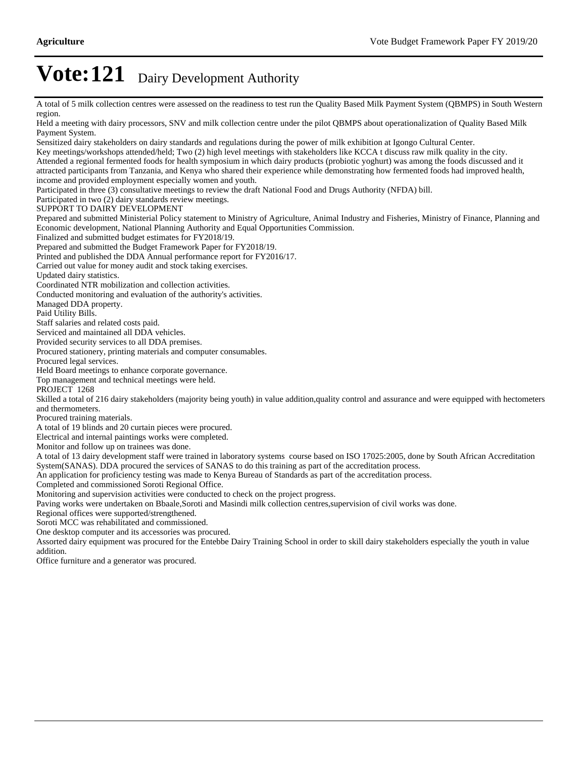A total of 5 milk collection centres were assessed on the readiness to test run the Quality Based Milk Payment System (QBMPS) in South Western region.

Held a meeting with dairy processors, SNV and milk collection centre under the pilot QBMPS about operationalization of Quality Based Milk Payment System. Sensitized dairy stakeholders on dairy standards and regulations during the power of milk exhibition at Igongo Cultural Center. Key meetings/workshops attended/held; Two (2) high level meetings with stakeholders like KCCA t discuss raw milk quality in the city. Attended a regional fermented foods for health symposium in which dairy products (probiotic yoghurt) was among the foods discussed and it attracted participants from Tanzania, and Kenya who shared their experience while demonstrating how fermented foods had improved health, income and provided employment especially women and youth. Participated in three (3) consultative meetings to review the draft National Food and Drugs Authority (NFDA) bill. Participated in two (2) dairy standards review meetings. SUPPORT TO DAIRY DEVELOPMENT Prepared and submitted Ministerial Policy statement to Ministry of Agriculture, Animal Industry and Fisheries, Ministry of Finance, Planning and Economic development, National Planning Authority and Equal Opportunities Commission. Finalized and submitted budget estimates for FY2018/19. Prepared and submitted the Budget Framework Paper for FY2018/19. Printed and published the DDA Annual performance report for FY2016/17. Carried out value for money audit and stock taking exercises. Updated dairy statistics. Coordinated NTR mobilization and collection activities. Conducted monitoring and evaluation of the authority's activities. Managed DDA property. Paid Utility Bills. Staff salaries and related costs paid. Serviced and maintained all DDA vehicles. Provided security services to all DDA premises. Procured stationery, printing materials and computer consumables. Procured legal services. Held Board meetings to enhance corporate governance. Top management and technical meetings were held. PROJECT 1268 Skilled a total of 216 dairy stakeholders (majority being youth) in value addition,quality control and assurance and were equipped with hectometers and thermometers. Procured training materials. A total of 19 blinds and 20 curtain pieces were procured. Electrical and internal paintings works were completed. Monitor and follow up on trainees was done. A total of 13 dairy development staff were trained in laboratory systems course based on ISO 17025:2005, done by South African Accreditation System(SANAS). DDA procured the services of SANAS to do this training as part of the accreditation process. An application for proficiency testing was made to Kenya Bureau of Standards as part of the accreditation process. Completed and commissioned Soroti Regional Office. Monitoring and supervision activities were conducted to check on the project progress. Paving works were undertaken on Bbaale,Soroti and Masindi milk collection centres,supervision of civil works was done. Regional offices were supported/strengthened. Soroti MCC was rehabilitated and commissioned. One desktop computer and its accessories was procured. Assorted dairy equipment was procured for the Entebbe Dairy Training School in order to skill dairy stakeholders especially the youth in value addition. Office furniture and a generator was procured.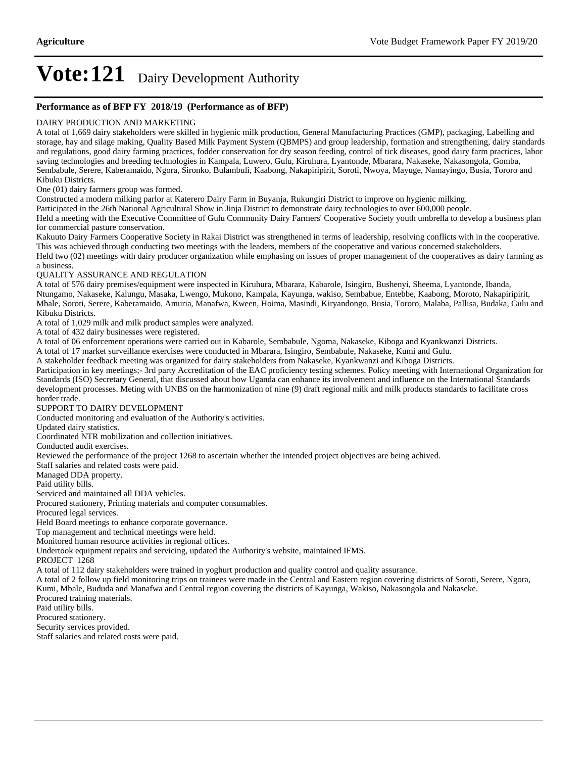#### **Performance as of BFP FY 2018/19 (Performance as of BFP)**

#### DAIRY PRODUCTION AND MARKETING

A total of 1,669 dairy stakeholders were skilled in hygienic milk production, General Manufacturing Practices (GMP), packaging, Labelling and storage, hay and silage making, Quality Based Milk Payment System (QBMPS) and group leadership, formation and strengthening, dairy standards and regulations, good dairy farming practices, fodder conservation for dry season feeding, control of tick diseases, good dairy farm practices, labor saving technologies and breeding technologies in Kampala, Luwero, Gulu, Kiruhura, Lyantonde, Mbarara, Nakaseke, Nakasongola, Gomba, Sembabule, Serere, Kaberamaido, Ngora, Sironko, Bulambuli, Kaabong, Nakapiripirit, Soroti, Nwoya, Mayuge, Namayingo, Busia, Tororo and Kibuku Districts.

One (01) dairy farmers group was formed.

Constructed a modern milking parlor at Katerero Dairy Farm in Buyanja, Rukungiri District to improve on hygienic milking.

Participated in the 26th National Agricultural Show in Jinja District to demonstrate dairy technologies to over 600,000 people.

Held a meeting with the Executive Committee of Gulu Community Dairy Farmers' Cooperative Society youth umbrella to develop a business plan for commercial pasture conservation.

Kakuuto Dairy Farmers Cooperative Society in Rakai District was strengthened in terms of leadership, resolving conflicts with in the cooperative. This was achieved through conducting two meetings with the leaders, members of the cooperative and various concerned stakeholders.

Held two (02) meetings with dairy producer organization while emphasing on issues of proper management of the cooperatives as dairy farming as a business.

#### QUALITY ASSURANCE AND REGULATION

A total of 576 dairy premises/equipment were inspected in Kiruhura, Mbarara, Kabarole, Isingiro, Bushenyi, Sheema, Lyantonde, Ibanda, Ntungamo, Nakaseke, Kalungu, Masaka, Lwengo, Mukono, Kampala, Kayunga, wakiso, Sembabue, Entebbe, Kaabong, Moroto, Nakapiripirit, Mbale, Soroti, Serere, Kaberamaido, Amuria, Manafwa, Kween, Hoima, Masindi, Kiryandongo, Busia, Tororo, Malaba, Pallisa, Budaka, Gulu and Kibuku Districts.

A total of 1,029 milk and milk product samples were analyzed.

A total of 432 dairy businesses were registered.

A total of 06 enforcement operations were carried out in Kabarole, Sembabule, Ngoma, Nakaseke, Kiboga and Kyankwanzi Districts.

A total of 17 market surveillance exercises were conducted in Mbarara, Isingiro, Sembabule, Nakaseke, Kumi and Gulu.

A stakeholder feedback meeting was organized for dairy stakeholders from Nakaseke, Kyankwanzi and Kiboga Districts.

Participation in key meetings;- 3rd party Accreditation of the EAC proficiency testing schemes. Policy meeting with International Organization for Standards (ISO) Secretary General, that discussed about how Uganda can enhance its involvement and influence on the International Standards development processes. Meting with UNBS on the harmonization of nine (9) draft regional milk and milk products standards to facilitate cross border trade.

#### SUPPORT TO DAIRY DEVELOPMENT

Conducted monitoring and evaluation of the Authority's activities.

Updated dairy statistics.

Coordinated NTR mobilization and collection initiatives.

Conducted audit exercises.

Reviewed the performance of the project 1268 to ascertain whether the intended project objectives are being achived.

Staff salaries and related costs were paid.

Managed DDA property.

Paid utility bills.

Serviced and maintained all DDA vehicles.

Procured stationery, Printing materials and computer consumables.

Procured legal services.

Held Board meetings to enhance corporate governance.

Top management and technical meetings were held.

Monitored human resource activities in regional offices.

Undertook equipment repairs and servicing, updated the Authority's website, maintained IFMS.

PROJECT 1268

A total of 112 dairy stakeholders were trained in yoghurt production and quality control and quality assurance.

A total of 2 follow up field monitoring trips on trainees were made in the Central and Eastern region covering districts of Soroti, Serere, Ngora,

Kumi, Mbale, Bududa and Manafwa and Central region covering the districts of Kayunga, Wakiso, Nakasongola and Nakaseke.

Procured training materials.

Paid utility bills.

Procured stationery.

Security services provided.

Staff salaries and related costs were paid.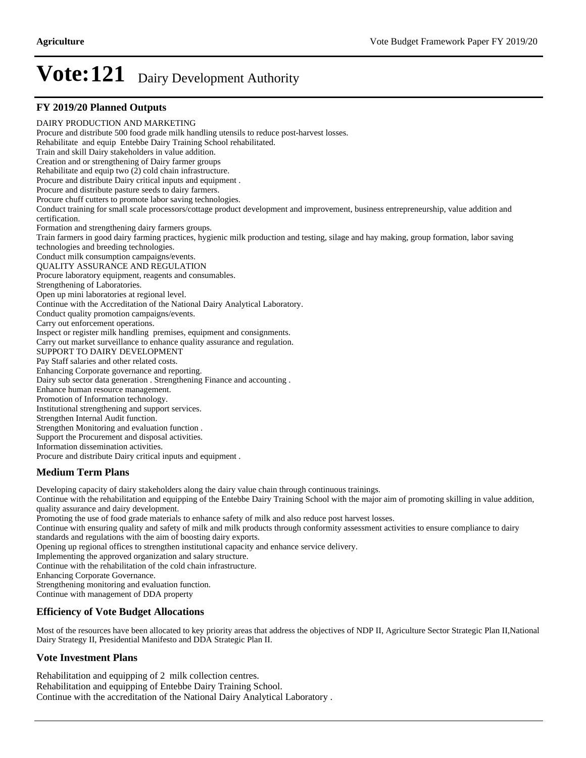#### **FY 2019/20 Planned Outputs**

DAIRY PRODUCTION AND MARKETING Procure and distribute 500 food grade milk handling utensils to reduce post-harvest losses. Rehabilitate and equip Entebbe Dairy Training School rehabilitated. Train and skill Dairy stakeholders in value addition. Creation and or strengthening of Dairy farmer groups Rehabilitate and equip two (2) cold chain infrastructure. Procure and distribute Dairy critical inputs and equipment . Procure and distribute pasture seeds to dairy farmers. Procure chuff cutters to promote labor saving technologies. Conduct training for small scale processors/cottage product development and improvement, business entrepreneurship, value addition and certification. Formation and strengthening dairy farmers groups. Train farmers in good dairy farming practices, hygienic milk production and testing, silage and hay making, group formation, labor saving technologies and breeding technologies. Conduct milk consumption campaigns/events. QUALITY ASSURANCE AND REGULATION Procure laboratory equipment, reagents and consumables. Strengthening of Laboratories. Open up mini laboratories at regional level. Continue with the Accreditation of the National Dairy Analytical Laboratory. Conduct quality promotion campaigns/events. Carry out enforcement operations. Inspect or register milk handling premises, equipment and consignments. Carry out market surveillance to enhance quality assurance and regulation. SUPPORT TO DAIRY DEVELOPMENT Pay Staff salaries and other related costs. Enhancing Corporate governance and reporting. Dairy sub sector data generation . Strengthening Finance and accounting . Enhance human resource management. Promotion of Information technology. Institutional strengthening and support services. Strengthen Internal Audit function. Strengthen Monitoring and evaluation function . Support the Procurement and disposal activities. Information dissemination activities. Procure and distribute Dairy critical inputs and equipment .

#### **Medium Term Plans**

Developing capacity of dairy stakeholders along the dairy value chain through continuous trainings.

Continue with the rehabilitation and equipping of the Entebbe Dairy Training School with the major aim of promoting skilling in value addition, quality assurance and dairy development.

Promoting the use of food grade materials to enhance safety of milk and also reduce post harvest losses.

Continue with ensuring quality and safety of milk and milk products through conformity assessment activities to ensure compliance to dairy standards and regulations with the aim of boosting dairy exports.

Opening up regional offices to strengthen institutional capacity and enhance service delivery.

Implementing the approved organization and salary structure.

Continue with the rehabilitation of the cold chain infrastructure.

Enhancing Corporate Governance.

Strengthening monitoring and evaluation function.

Continue with management of DDA property

#### **Efficiency of Vote Budget Allocations**

Most of the resources have been allocated to key priority areas that address the objectives of NDP II, Agriculture Sector Strategic Plan II,National Dairy Strategy II, Presidential Manifesto and DDA Strategic Plan II.

#### **Vote Investment Plans**

Rehabilitation and equipping of 2 milk collection centres. Rehabilitation and equipping of Entebbe Dairy Training School. Continue with the accreditation of the National Dairy Analytical Laboratory .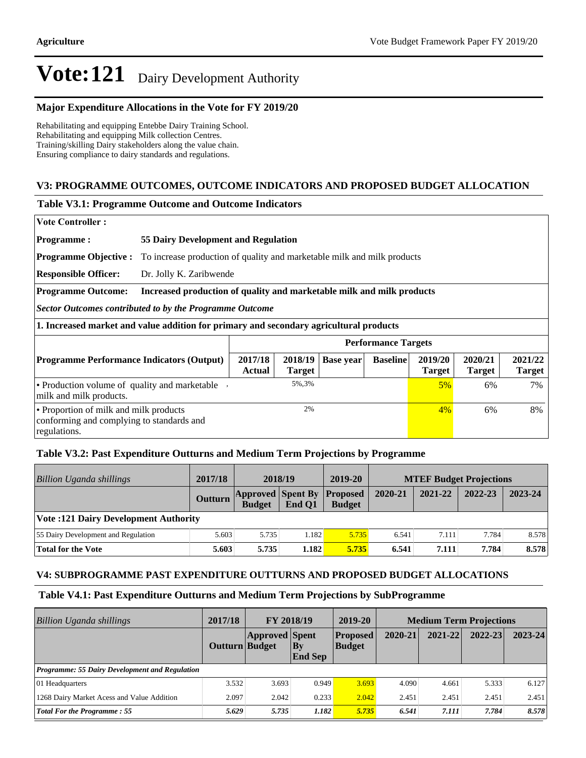#### **Major Expenditure Allocations in the Vote for FY 2019/20**

Rehabilitating and equipping Entebbe Dairy Training School. Rehabilitating and equipping Milk collection Centres. Training/skilling Dairy stakeholders along the value chain. Ensuring compliance to dairy standards and regulations.

#### **V3: PROGRAMME OUTCOMES, OUTCOME INDICATORS AND PROPOSED BUDGET ALLOCATION**

#### **Table V3.1: Programme Outcome and Outcome Indicators**

|  |  | <b>Vote Controller :</b> |  |
|--|--|--------------------------|--|
|--|--|--------------------------|--|

**Programme : 55 Dairy Development and Regulation**

**Programme Objective :** To increase production of quality and marketable milk and milk products

**Responsible Officer:** Dr. Jolly K. Zaribwende

#### **Programme Outcome: Increased production of quality and marketable milk and milk products**

*Sector Outcomes contributed to by the Programme Outcome*

**1. Increased market and value addition for primary and secondary agricultural products**

|                                                                                                     |                          |               |                     | <b>Performance Targets</b> |                          |                          |                          |
|-----------------------------------------------------------------------------------------------------|--------------------------|---------------|---------------------|----------------------------|--------------------------|--------------------------|--------------------------|
| <b>Programme Performance Indicators (Output)</b>                                                    | 2017/18<br><b>Actual</b> | <b>Target</b> | $2018/19$ Base year | <b>Baseline</b>            | 2019/20<br><b>Target</b> | 2020/21<br><b>Target</b> | 2021/22<br><b>Target</b> |
| • Production volume of quality and marketable<br>milk and milk products.                            |                          | 5%, 3%        |                     |                            | $5\%$                    | 6%                       | 7%                       |
| • Proportion of milk and milk products<br>conforming and complying to standards and<br>regulations. | 2%                       |               |                     |                            | $4\%$                    | 6%                       | 8%                       |

#### **Table V3.2: Past Expenditure Outturns and Medium Term Projections by Programme**

| Billion Uganda shillings                     | 2017/18 | 2018/19                                                    |        | 2019-20                          | <b>MTEF Budget Projections</b> |         |         |         |
|----------------------------------------------|---------|------------------------------------------------------------|--------|----------------------------------|--------------------------------|---------|---------|---------|
|                                              | Outturn | $\left  \text{Approved} \right $ Spent By<br><b>Budget</b> | End O1 | <b>Proposed</b><br><b>Budget</b> | 2020-21                        | 2021-22 | 2022-23 | 2023-24 |
| <b>Vote :121 Dairy Development Authority</b> |         |                                                            |        |                                  |                                |         |         |         |
| 55 Dairy Development and Regulation          | 5.603   | 5.735                                                      | 1.182  | 5.735                            | 6.541                          | 7.111   | 7.784   | 8.578   |
| <b>Total for the Vote</b>                    | 5.603   | 5.735                                                      | 1.182  | 5.735                            | 6.541                          | 7.111   | 7.784   | 8.578   |

#### **V4: SUBPROGRAMME PAST EXPENDITURE OUTTURNS AND PROPOSED BUDGET ALLOCATIONS**

#### **Table V4.1: Past Expenditure Outturns and Medium Term Projections by SubProgramme**

| Billion Uganda shillings                              | 2017/18        | FY 2018/19            |                      | 2019-20                          | <b>Medium Term Projections</b> |             |             |             |
|-------------------------------------------------------|----------------|-----------------------|----------------------|----------------------------------|--------------------------------|-------------|-------------|-------------|
|                                                       | Outturn Budget | <b>Approved Spent</b> | Bv<br><b>End Sep</b> | <b>Proposed</b><br><b>Budget</b> | 2020-21                        | $2021 - 22$ | $2022 - 23$ | $2023 - 24$ |
| <b>Programme: 55 Dairy Development and Regulation</b> |                |                       |                      |                                  |                                |             |             |             |
| 01 Headquarters                                       | 3.532          | 3.693                 | 0.949                | 3.693                            | 4.090                          | 4.661       | 5.333       | 6.127       |
| 1268 Dairy Market Acess and Value Addition            | 2.097          | 2.042                 | 0.233                | 2.042                            | 2.451                          | 2.451       | 2.451       | 2.451       |
| <b>Total For the Programme: 55</b>                    | 5.629          | 5.735                 | 1.182                | 5.735                            | 6.541                          | 7.111       | 7.784       | 8.578       |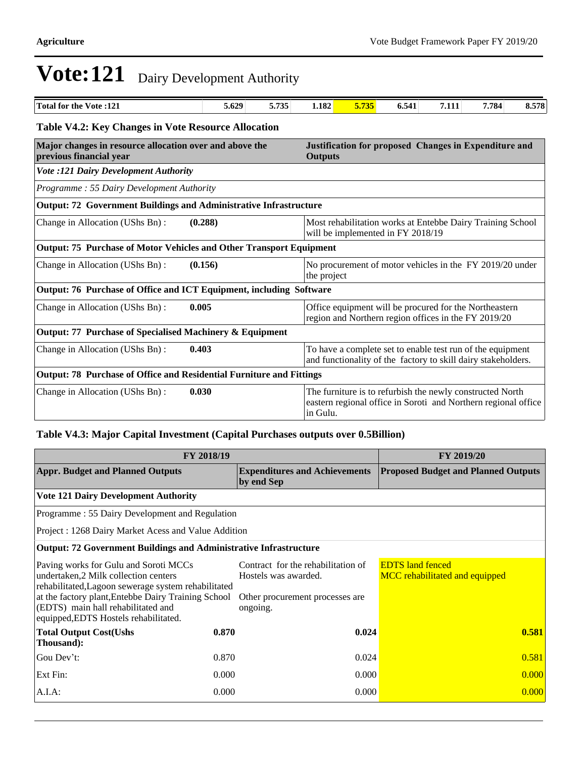| <b>Total for the Vote:121</b>                                                      | 5.629   | 5.735 | 1.182                                                                   | 5.735                                                                                                                                   | 6.541                                                                                                                       | 7.111 | 7.784 | 8.578 |  |
|------------------------------------------------------------------------------------|---------|-------|-------------------------------------------------------------------------|-----------------------------------------------------------------------------------------------------------------------------------------|-----------------------------------------------------------------------------------------------------------------------------|-------|-------|-------|--|
| <b>Table V4.2: Key Changes in Vote Resource Allocation</b>                         |         |       |                                                                         |                                                                                                                                         |                                                                                                                             |       |       |       |  |
| Major changes in resource allocation over and above the<br>previous financial year |         |       |                                                                         | Justification for proposed Changes in Expenditure and<br><b>Outputs</b>                                                                 |                                                                                                                             |       |       |       |  |
| <b>Vote :121 Dairy Development Authority</b>                                       |         |       |                                                                         |                                                                                                                                         |                                                                                                                             |       |       |       |  |
| Programme: 55 Dairy Development Authority                                          |         |       |                                                                         |                                                                                                                                         |                                                                                                                             |       |       |       |  |
| Output: 72 Government Buildings and Administrative Infrastructure                  |         |       |                                                                         |                                                                                                                                         |                                                                                                                             |       |       |       |  |
| Change in Allocation (UShs Bn):                                                    | (0.288) |       |                                                                         |                                                                                                                                         | Most rehabilitation works at Entebbe Dairy Training School<br>will be implemented in FY 2018/19                             |       |       |       |  |
| Output: 75 Purchase of Motor Vehicles and Other Transport Equipment                |         |       |                                                                         |                                                                                                                                         |                                                                                                                             |       |       |       |  |
| Change in Allocation (UShs Bn):<br>(0.156)                                         |         |       | No procurement of motor vehicles in the FY 2019/20 under<br>the project |                                                                                                                                         |                                                                                                                             |       |       |       |  |
| Output: 76 Purchase of Office and ICT Equipment, including Software                |         |       |                                                                         |                                                                                                                                         |                                                                                                                             |       |       |       |  |
| 0.005<br>Change in Allocation (UShs Bn):                                           |         |       |                                                                         |                                                                                                                                         | Office equipment will be procured for the Northeastern<br>region and Northern region offices in the FY 2019/20              |       |       |       |  |
| Output: 77 Purchase of Specialised Machinery & Equipment                           |         |       |                                                                         |                                                                                                                                         |                                                                                                                             |       |       |       |  |
| 0.403<br>Change in Allocation (UShs Bn):                                           |         |       |                                                                         |                                                                                                                                         | To have a complete set to enable test run of the equipment<br>and functionality of the factory to skill dairy stakeholders. |       |       |       |  |
| Output: 78 Purchase of Office and Residential Furniture and Fittings               |         |       |                                                                         |                                                                                                                                         |                                                                                                                             |       |       |       |  |
| Change in Allocation (UShs Bn):<br>0.030                                           |         |       |                                                                         | The furniture is to refurbish the newly constructed North<br>eastern regional office in Soroti and Northern regional office<br>in Gulu. |                                                                                                                             |       |       |       |  |

### **Table V4.3: Major Capital Investment (Capital Purchases outputs over 0.5Billion)**

| <b>FY 2018/19</b>                                                                                                                                                                                                                                                           | FY 2019/20 |                                                                                                           |                                                           |
|-----------------------------------------------------------------------------------------------------------------------------------------------------------------------------------------------------------------------------------------------------------------------------|------------|-----------------------------------------------------------------------------------------------------------|-----------------------------------------------------------|
| <b>Appr. Budget and Planned Outputs</b>                                                                                                                                                                                                                                     |            | <b>Expenditures and Achievements</b><br>by end Sep                                                        | <b>Proposed Budget and Planned Outputs</b>                |
| <b>Vote 121 Dairy Development Authority</b>                                                                                                                                                                                                                                 |            |                                                                                                           |                                                           |
| Programme: 55 Dairy Development and Regulation                                                                                                                                                                                                                              |            |                                                                                                           |                                                           |
| Project: 1268 Dairy Market Acess and Value Addition                                                                                                                                                                                                                         |            |                                                                                                           |                                                           |
| <b>Output: 72 Government Buildings and Administrative Infrastructure</b>                                                                                                                                                                                                    |            |                                                                                                           |                                                           |
| Paving works for Gulu and Soroti MCCs<br>undertaken, 2 Milk collection centers<br>rehabilitated, Lagoon sewerage system rehabilitated<br>at the factory plant, Entebbe Dairy Training School<br>(EDTS) main hall rehabilitated and<br>equipped, EDTS Hostels rehabilitated. |            | Contract for the rehabilitation of<br>Hostels was awarded.<br>Other procurement processes are<br>ongoing. | <b>EDTS</b> land fenced<br>MCC rehabilitated and equipped |
| <b>Total Output Cost(Ushs</b><br>Thousand):                                                                                                                                                                                                                                 | 0.870      | 0.024                                                                                                     | 0.581                                                     |
| Gou Dev't:                                                                                                                                                                                                                                                                  | 0.870      | 0.024                                                                                                     | 0.581                                                     |
| Ext Fin:                                                                                                                                                                                                                                                                    | 0.000      | 0.000                                                                                                     | 0.000                                                     |
| $A.I.A$ :                                                                                                                                                                                                                                                                   | 0.000      | 0.000                                                                                                     | 0.000                                                     |